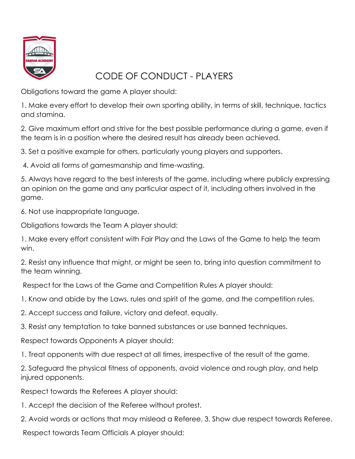

## CODE OF CONDUCT - PLAYERS

Obligations toward the game A player should:

1. Make every effort to develop their own sporting ability, in terms of skill, technique, tactics and stamina.

2. Give maximum effort and strive for the best possible performance during a game, even if the team is in a position where the desired result has already been achieved.

3. Set a positive example for others, particularly young players and supporters.

4. Avoid all forms of gamesmanship and time-wasting.

5. Always have regard to the best interests of the game, including where publicly expressing an opinion on the game and any particular aspect of it, including others involved in the game.

6. Not use inappropriate language.

Obligations towards the Team A player should:

1. Make every effort consistent with Fair Play and the Laws of the Game to help the team win.

2. Resist any influence that might, or might be seen to, bring into question commitment to the team winning.

Respect for the Laws of the Game and Competition Rules A player should:

1. Know and abide by the Laws, rules and spirit of the game, and the competition rules.

2. Accept success and failure, victory and defeat, equally.

3. Resist any temptation to take banned substances or use banned techniques.

Respect towards Opponents A player should:

1. Treat opponents with due respect at all times, irrespective of the result of the game.

2. Safeguard the physical fitness of opponents, avoid violence and rough play, and help injured opponents.

Respect towards the Referees A player should:

1. Accept the decision of the Referee without protest.

2. Avoid words or actions that may mislead a Referee. 3. Show due respect towards Referee.

Respect towards Team Officials A player should: